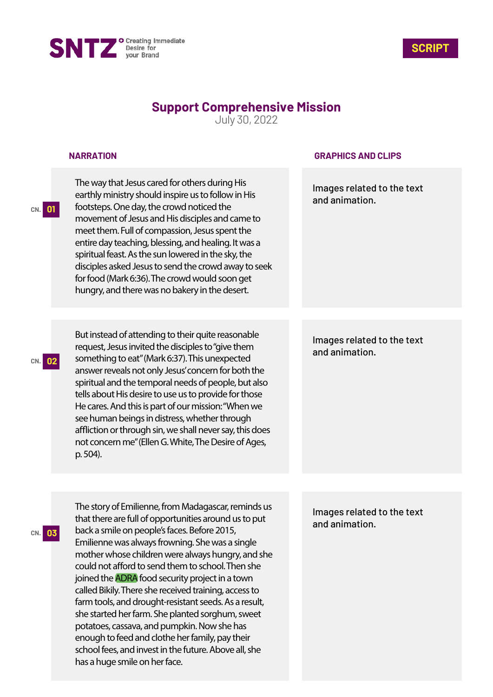



# **Support Comprehensive Mission**

July 30, 2022

#### **NARRATION**

**CN. 01**

**CN. 02**

**CN. 03**

The way that Jesus cared for others during His earthly ministry should inspire us to follow in His footsteps. One day, the crowd noticed the movement of Jesus and His disciples and came to meet them. Full of compassion, Jesus spent the entire day teaching, blessing, and healing. It was a spiritual feast. As the sun lowered in the sky, the disciples asked Jesus to send the crowd away to seek for food (Mark 6:36). The crowd would soon get hungry, and there was no bakery in the desert.

But instead of attending to their quite reasonable request, Jesus invited the disciples to "give them something to eat" (Mark 6:37). This unexpected answer reveals not only Jesus' concern for both the spiritual and the temporal needs of people, but also tells about His desire to use us to provide for those He cares. And this is part of our mission: "When we see human beings in distress, whether through affliction or through sin, we shall never say, this does not concern me" (Ellen G. White, The Desire of Ages, p. 504).

### **GRAPHICS AND CLIPS**

Images related to the text and animation.

# Images related to the text and animation.

The story of Emilienne, from Madagascar, reminds us that there are full of opportunities around us to put back a smile on people's faces. Before 2015, Emilienne was always frowning. She was a single mother whose children were always hungry, and she could not afford to send them to school. Then she joined the ADRA food security project in a town called Bikily. There she received training, access to farm tools, and drought-resistant seeds. As a result, she started her farm. She planted sorghum, sweet potatoes, cassava, and pumpkin. Now she has enough to feed and clothe her family, pay their school fees, and invest in the future. Above all, she has a huge smile on her face.

Images related to the text and animation.